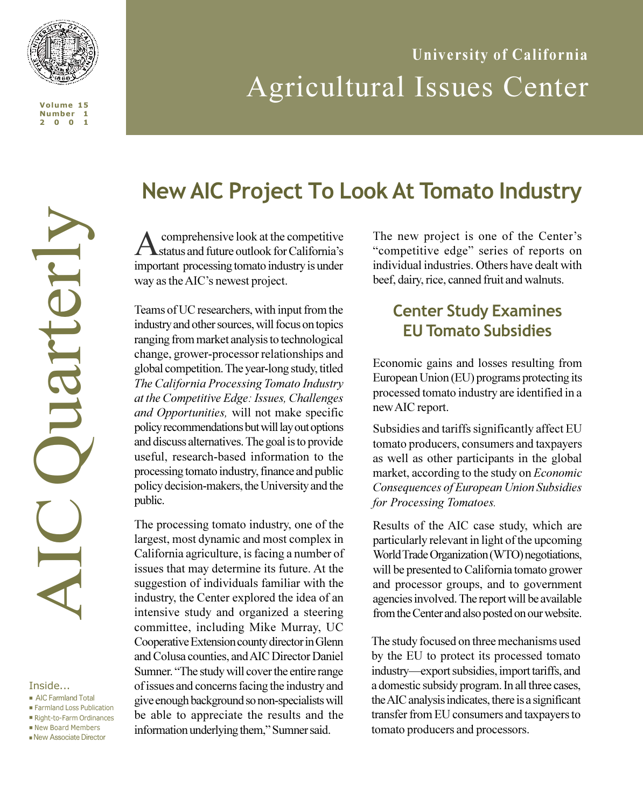

# **University of California** Agricultural Issues Center

#### Inside...

- **n** AIC Farmland Total
- n Farmland Loss Publication
- Right-to-Farm Ordinances ■ New Board Members
- **n** New Associate Director

## **New AIC Project To Look At Tomato Industry**

A comprehensive look at the competitive<br> **A** status and future outlook for California's important processing tomato industry is under way as the AIC's newest project.

Teams of UC researchers, with input from the industry and other sources, will focus on topics ranging from market analysis to technological change, grower-processor relationships and global competition. The year-long study, titled *The California Processing Tomato Industry at the Competitive Edge: Issues, Challenges and Opportunities,* will not make specific policy recommendations but will lay out options and discuss alternatives. The goal is to provide useful, research-based information to the processing tomato industry, finance and public policy decision-makers, the University and the public.

The processing tomato industry, one of the largest, most dynamic and most complex in California agriculture, is facing a number of issues that may determine its future. At the suggestion of individuals familiar with the industry, the Center explored the idea of an intensive study and organized a steering committee, including Mike Murray, UC Cooperative Extension county director in Glenn and Colusa counties, and AIC Director Daniel Sumner. "The study will cover the entire range of issues and concerns facing the industry and give enough background so non-specialists will be able to appreciate the results and the information underlying them," Sumner said.

The new project is one of the Center's "competitive edge" series of reports on individual industries. Others have dealt with beef, dairy, rice, canned fruit and walnuts.

## **Center Study Examines EU Tomato Subsidies**

Economic gains and losses resulting from European Union (EU) programs protecting its processed tomato industry are identified in a new AIC report.

Subsidies and tariffs significantly affect EU tomato producers, consumers and taxpayers as well as other participants in the global market, according to the study on *Economic Consequences of European Union Subsidies for Processing Tomatoes.*

Results of the AIC case study, which are particularly relevant in light of the upcoming World Trade Organization (WTO) negotiations, will be presented to California tomato grower and processor groups, and to government agencies involved. The report will be available from the Center and also posted on our website.

The study focused on three mechanisms used The study focused on three mechanisms used by the EU to protect its processed tomato by the EU to protect its processed tomato industry-export subsidies, import tariffs, and a domestic subsidy program. In all three cases, a domestic subsidy program. In all three cases, the AIC analysis indicates, there is a significant the AIC analysis indicates, there is a significant transfer from EU consumers and taxpayers to transfer from EU consumers and taxpayers to tomato producers and processors. tomato producers and processors.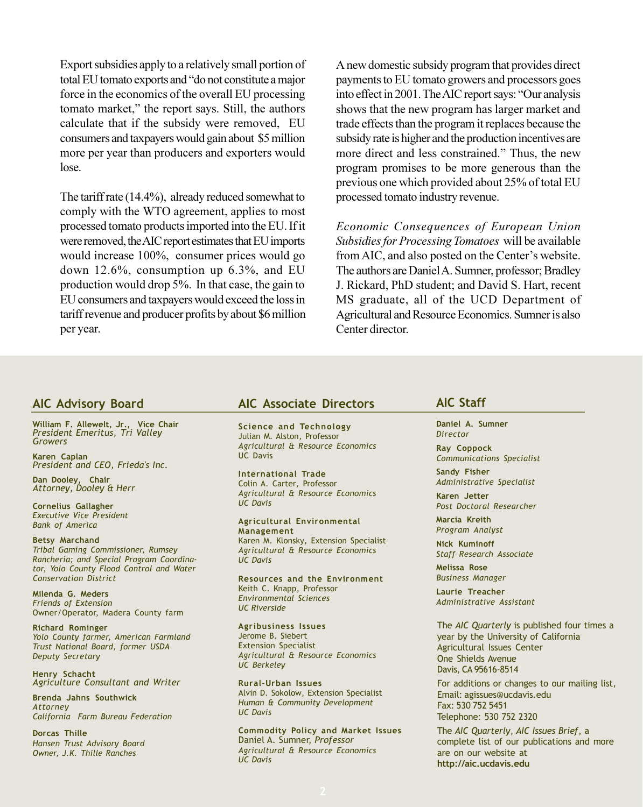Export subsidies apply to a relatively small portion of total EU tomato exports and "do not constitute a major force in the economics of the overall EU processing tomato market," the report says. Still, the authors calculate that if the subsidy were removed, EU consumers and taxpayers would gain about \$5 million more per year than producers and exporters would lose.

The tariff rate (14.4%), already reduced somewhat to comply with the WTO agreement, applies to most processed tomato products imported into the EU. If it were removed, the AIC report estimates that EU imports would increase 100%, consumer prices would go down 12.6%, consumption up 6.3%, and EU production would drop 5%. In that case, the gain to EU consumers and taxpayers would exceed the loss in tariff revenue and producer profits by about \$6 million per year.

A new domestic subsidy program that provides direct payments to EU tomato growers and processors goes into effect in 2001. The AIC report says: "Our analysis shows that the new program has larger market and trade effects than the program it replaces because the subsidy rate is higher and the production incentives are more direct and less constrained." Thus, the new program promises to be more generous than the previous one which provided about 25% of total EU processed tomato industry revenue.

*Economic Consequences of European Union Subsidies for Processing Tomatoes* will be available from AIC, and also posted on the Center's website. The authors are Daniel A. Sumner, professor; Bradley J. Rickard, PhD student; and David S. Hart, recent MS graduate, all of the UCD Department of Agricultural and Resource Economics. Sumner is also Center director.

### **AIC Advisory Board**

**William F. Allewelt, Jr., Vice Chair** *President Emeritus, Tri Valley Growers*

**Karen Caplan** *President and CEO, Frieda's Inc.*

**Dan Dooley, Chair** *Attorney, Dooley & Herr*

**Cornelius Gallagher** *Executive Vice President Bank of America*

**Betsy Marchand** *Tribal Gaming Commissioner, Rumsey Rancheria; and Special Program Coordinator, Yolo County Flood Control and Water Conservation District*

**Milenda G. Meders** *Friends of Extension* Owner/Operator, Madera County farm

**Richard Rominger** *Yolo County farmer, American Farmland Trust National Board, former USDA Deputy Secretary*

**Henry Schacht** *Agriculture Consultant and Writer*

**Brenda Jahns Southwick** *Attorney California Farm Bureau Federation*

**Dorcas Thille** *Hansen Trust Advisory Board Owner, J.K. Thille Ranches*

### **AIC Associate Directors**

**Science and Technology** Julian M. Alston*,* Professor *Agricultural & Resource Economics* UC Davis

**International Trade** Colin A. Carter*,* Professor *Agricultural & Resource Economics UC Davis*

**Agricultural Environmental Management** Karen M. Klonsky*,* Extension Specialist *Agricultural & Resource Economics UC Davis*

**Resources and the Environment** Keith C. Knapp*,* Professor *Environmental Sciences UC Riverside*

**Agribusiness Issues** Jerome B. Siebert**Extension Specialist** *Agricultural & Resource Economics UC Berkeley*

**Rural-Urban Issues** Alvin D. Sokolow*,* Extension Specialist *Human & Community Development UC Davis*

**Commodity Policy and Market Issues** Daniel A. Sumner, *Professor Agricultural & Resource Economics UC Davis*

### **AIC Staff**

**Daniel A. Sumner** *Director*

**Ray Coppock** *Communications Specialist*

**Sandy Fisher** *Administrative Specialist*

**Karen Jetter** *Post Doctoral Researcher*

**Marcia Kreith** *Program Analyst*

**Nick Kuminoff** *Staff Research Associate*

**Melissa Rose** *Business Manager*

**Laurie Treacher** *Administrative Assistant*

The *AIC Quarterly* is published four times a year by the University of California Agricultural Issues Center One Shields Avenue Davis, CA 95616-8514

For additions or changes to our mailing list, Email: agissues@ucdavis.edu Fax: 530 752 5451 Telephone: 530 752 2320

The *AIC Quarterly*, *AIC Issues Brief*, a complete list of our publications and more are on our website at **http://aic.ucdavis.edu**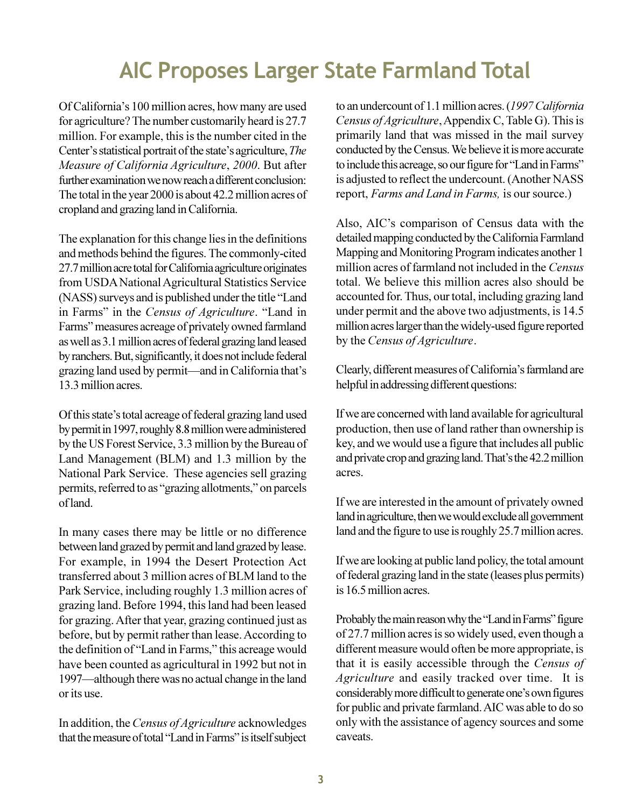## **AIC Proposes Larger State Farmland Total**

Of California's 100 million acres, how many are used for agriculture? The number customarily heard is 27.7 million. For example, this is the number cited in the Center's statistical portrait of the state's agriculture, *The Measure of California Agriculture*, *2000*. But after further examination we now reach a different conclusion: The total in the year 2000 is about 42.2 million acres of cropland and grazing land in California.

The explanation for this change lies in the definitions and methods behind the figures. The commonly-cited 27.7 million acre total for California agriculture originates from USDA National Agricultural Statistics Service (NASS) surveys and is published under the title "Land in Farms" in the *Census of Agriculture*. "Land in Farms" measures acreage of privately owned farmland as well as 3.1 million acres of federal grazing land leased by ranchers. But, significantly, it does not include federal grazing land used by permit—and in California that's 13.3 million acres.

Of this state's total acreage of federal grazing land used by permit in 1997, roughly 8.8 million were administered by the US Forest Service, 3.3 million by the Bureau of Land Management (BLM) and 1.3 million by the National Park Service. These agencies sell grazing permits, referred to as "grazing allotments," on parcels of land.

In many cases there may be little or no difference between land grazed by permit and land grazed by lease. For example, in 1994 the Desert Protection Act transferred about 3 million acres of BLM land to the Park Service, including roughly 1.3 million acres of grazing land. Before 1994, this land had been leased for grazing. After that year, grazing continued just as before, but by permit rather than lease. According to the definition of "Land in Farms," this acreage would have been counted as agricultural in 1992 but not in 1997—although there was no actual change in the land or its use.

In addition, the *Census of Agriculture* acknowledges that the measure of total "Land in Farms" is itself subject

to an undercount of 1.1 million acres. (*1997 California Census of Agriculture*, Appendix C, Table G). This is primarily land that was missed in the mail survey conducted by the Census. We believe it is more accurate to include this acreage, so our figure for "Land in Farms" is adjusted to reflect the undercount. (Another NASS report, *Farms and Land in Farms,* is our source.)

Also, AIC's comparison of Census data with the detailed mapping conducted by the California Farmland Mapping and Monitoring Program indicates another 1 million acres of farmland not included in the *Census* total. We believe this million acres also should be accounted for. Thus, our total, including grazing land under permit and the above two adjustments, is 14.5 million acres larger than the widely-used figure reported by the *Census of Agriculture*.

Clearly, different measures of California's farmland are helpful in addressing different questions:

If we are concerned with land available for agricultural production, then use of land rather than ownership is key, and we would use a figure that includes all public and private crop and grazing land. That's the 42.2 million acres.

If we are interested in the amount of privately owned land in agriculture, then we would exclude all government land and the figure to use is roughly 25.7 million acres.

If we are looking at public land policy, the total amount of federal grazing land in the state (leases plus permits) is 16.5 million acres.

Probably the main reason why the "Land in Farms" figure of 27.7 million acres is so widely used, even though a different measure would often be more appropriate, is that it is easily accessible through the *Census of Agriculture* and easily tracked over time. It is considerably more difficult to generate one's own figures for public and private farmland. AIC was able to do so only with the assistance of agency sources and some caveats.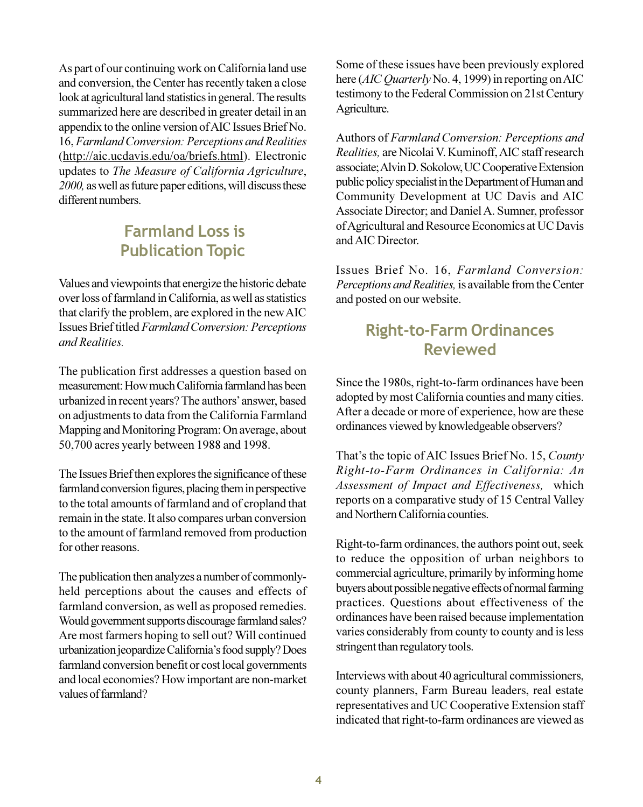As part of our continuing work on California land use and conversion, the Center has recently taken a close look at agricultural land statistics in general. The results summarized here are described in greater detail in an appendix to the online version of AIC Issues Brief No. 16, *Farmland Conversion: Perceptions and Realities* (http://aic.ucdavis.edu/oa/briefs.html). Electronic updates to *The Measure of California Agriculture*, *2000,* as well as future paper editions, will discuss these different numbers.

## **Farmland Loss is Publication Topic**

Values and viewpoints that energize the historic debate over loss of farmland in California, as well as statistics that clarify the problem, are explored in the new AIC Issues Brief titled *Farmland Conversion: Perceptions and Realities.*

The publication first addresses a question based on measurement: How much California farmland has been urbanized in recent years? The authors' answer, based on adjustments to data from the California Farmland Mapping and Monitoring Program: On average, about 50,700 acres yearly between 1988 and 1998.

The Issues Brief then explores the significance of these farmland conversion figures, placing them in perspective to the total amounts of farmland and of cropland that remain in the state. It also compares urban conversion to the amount of farmland removed from production for other reasons.

The publication then analyzes a number of commonlyheld perceptions about the causes and effects of farmland conversion, as well as proposed remedies. Would government supports discourage farmland sales? Are most farmers hoping to sell out? Will continued urbanization jeopardize California's food supply? Does farmland conversion benefit or cost local governments and local economies? How important are non-market values of farmland?

Some of these issues have been previously explored here (*AIC Quarterly* No. 4, 1999) in reporting on AIC testimony to the Federal Commission on 21st Century Agriculture.

Authors of *Farmland Conversion: Perceptions and Realities,* are Nicolai V. Kuminoff, AIC staff research associate; Alvin D. Sokolow, UC Cooperative Extension public policy specialist in the Department of Human and Community Development at UC Davis and AIC Associate Director; and Daniel A. Sumner, professor of Agricultural and Resource Economics at UC Davis and AIC Director.

Issues Brief No. 16, *Farmland Conversion: Perceptions and Realities,* is available from the Center and posted on our website.

## **Right-to-Farm Ordinances Reviewed**

Since the 1980s, right-to-farm ordinances have been adopted by most California counties and many cities. After a decade or more of experience, how are these ordinances viewed by knowledgeable observers?

That's the topic of AIC Issues Brief No. 15, *County Right-to-Farm Ordinances in California: An Assessment of Impact and Effectiveness,* which reports on a comparative study of 15 Central Valley and Northern California counties.

Right-to-farm ordinances, the authors point out, seek to reduce the opposition of urban neighbors to commercial agriculture, primarily by informing home buyers about possible negative effects of normal farming practices. Questions about effectiveness of the ordinances have been raised because implementation varies considerably from county to county and is less stringent than regulatory tools.

Interviews with about 40 agricultural commissioners, county planners, Farm Bureau leaders, real estate representatives and UC Cooperative Extension staff indicated that right-to-farm ordinances are viewed as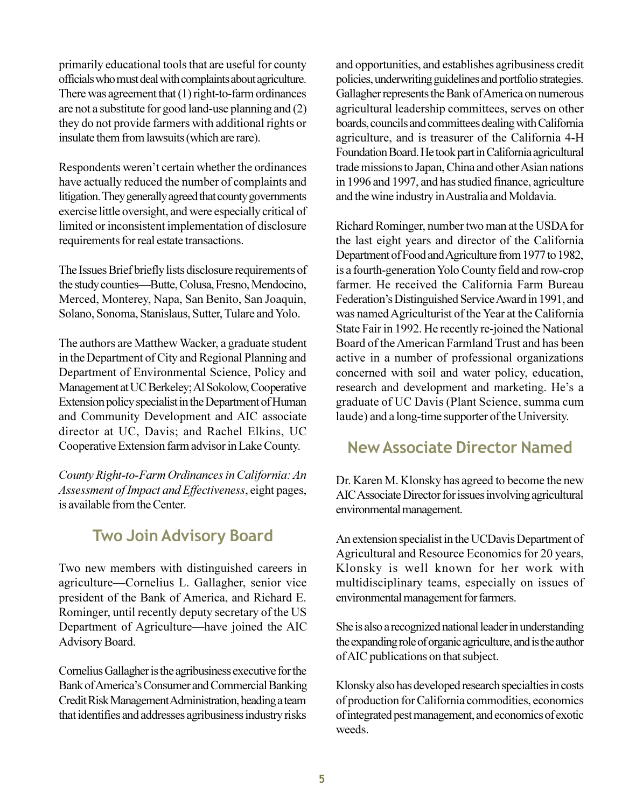primarily educational tools that are useful for county officials who must deal with complaints about agriculture. There was agreement that (1) right-to-farm ordinances are not a substitute for good land-use planning and (2) they do not provide farmers with additional rights or insulate them from lawsuits (which are rare).

Respondents weren't certain whether the ordinances have actually reduced the number of complaints and litigation. They generally agreed that county governments exercise little oversight, and were especially critical of limited or inconsistent implementation of disclosure requirements for real estate transactions.

The Issues Brief briefly lists disclosure requirements of the study counties—Butte, Colusa, Fresno, Mendocino, Merced, Monterey, Napa, San Benito, San Joaquin, Solano, Sonoma, Stanislaus, Sutter, Tulare and Yolo.

The authors are Matthew Wacker, a graduate student in theDepartment of City and Regional Planning and Department of Environmental Science, Policy and Management at UC Berkeley; Al Sokolow, Cooperative Extension policy specialist in the Department of Human and Community Development and AIC associate director at UC, Davis; and Rachel Elkins, UC Cooperative Extension farm advisor in Lake County.

*County Right-to-Farm Ordinances in California: An Assessment of Impact and Effectiveness*, eight pages, is available from the Center.

## **Two Join Advisory Board**

Two new members with distinguished careers in agriculture—Cornelius L. Gallagher, senior vice president of the Bank of America, and Richard E. Rominger, until recently deputy secretary of the US Department of Agriculture—have joined the AIC Advisory Board.

Cornelius Gallagher is the agribusiness executive for the Bank of America's Consumer and Commercial Banking Credit Risk Management Administration, heading a team that identifies and addresses agribusiness industry risks and opportunities, and establishes agribusiness credit policies, underwriting guidelines and portfolio strategies. Gallagher represents the Bank of America on numerous agricultural leadership committees, serves on other boards, councils and committees dealing with California agriculture, and is treasurer of the California 4-H Foundation Board. He took part in California agricultural trade missions to Japan, China and other Asian nations in 1996 and 1997, and has studied finance, agriculture and the wine industry in Australia and Moldavia.

Richard Rominger, number two man at the USDA for the last eight years and director of the California Department of Food and Agriculture from 1977 to 1982, is a fourth-generation Yolo County field and row-crop farmer. He received the California Farm Bureau Federation's Distinguished Service Award in 1991, and was named Agriculturist of the Year at the California State Fair in 1992. He recently re-joined the National Board of the American Farmland Trust and has been active in a number of professional organizations concerned with soil and water policy, education, research and development and marketing. He's a graduate of UC Davis (Plant Science, summa cum laude) and a long-time supporter of the University.

## **New Associate Director Named**

Dr. Karen M. Klonsky has agreed to become the new AIC Associate Director for issues involving agricultural environmental management.

An extension specialist in the UCDavis Department of Agricultural and Resource Economics for 20 years, Klonsky is well known for her work with multidisciplinary teams, especially on issues of environmental management for farmers.

She is also a recognized national leader in understanding the expanding role of organic agriculture, and is the author of AIC publications on that subject.

Klonsky also has developed research specialties in costs of production for California commodities, economics of integrated pest management, and economics of exotic weeds.